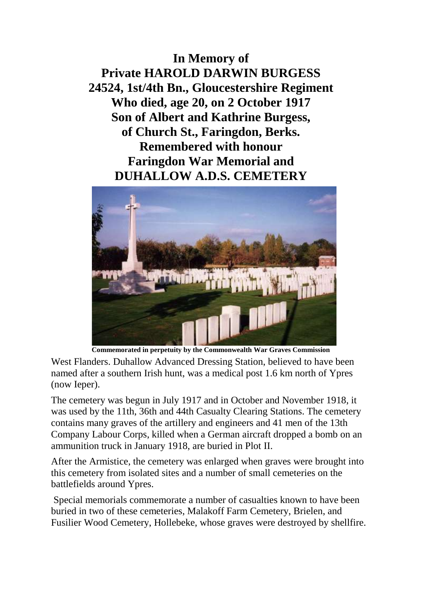**In Memory of Private HAROLD DARWIN BURGESS 24524, 1st/4th Bn., Gloucestershire Regiment Who died, age 20, on 2 October 1917 Son of Albert and Kathrine Burgess, of Church St., Faringdon, Berks. Remembered with honour Faringdon War Memorial and DUHALLOW A.D.S. CEMETERY**



**Commemorated in perpetuity by the Commonwealth War Graves Commission** 

West Flanders. Duhallow Advanced Dressing Station, believed to have been named after a southern Irish hunt, was a medical post 1.6 km north of Ypres (now Ieper).

The cemetery was begun in July 1917 and in October and November 1918, it was used by the 11th, 36th and 44th Casualty Clearing Stations. The cemetery contains many graves of the artillery and engineers and 41 men of the 13th Company Labour Corps, killed when a German aircraft dropped a bomb on an ammunition truck in January 1918, are buried in Plot II.

After the Armistice, the cemetery was enlarged when graves were brought into this cemetery from isolated sites and a number of small cemeteries on the battlefields around Ypres.

Special memorials commemorate a number of casualties known to have been buried in two of these cemeteries, Malakoff Farm Cemetery, Brielen, and Fusilier Wood Cemetery, Hollebeke, whose graves were destroyed by shellfire.